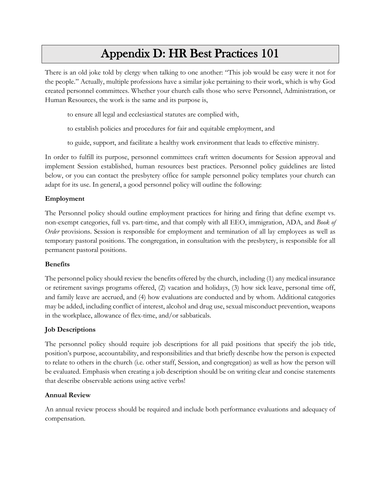# Appendix D: HR Best Practices 101

There is an old joke told by clergy when talking to one another: "This job would be easy were it not for the people." Actually, multiple professions have a similar joke pertaining to their work, which is why God created personnel committees. Whether your church calls those who serve Personnel, Administration, or Human Resources, the work is the same and its purpose is,

to ensure all legal and ecclesiastical statutes are complied with,

to establish policies and procedures for fair and equitable employment, and

to guide, support, and facilitate a healthy work environment that leads to effective ministry.

In order to fulfill its purpose, personnel committees craft written documents for Session approval and implement Session established, human resources best practices. Personnel policy guidelines are listed below, or you can contact the presbytery office for sample personnel policy templates your church can adapt for its use. In general, a good personnel policy will outline the following:

### **Employment**

The Personnel policy should outline employment practices for hiring and firing that define exempt vs. non-exempt categories, full vs. part-time, and that comply with all EEO, immigration, ADA, and *Book of Order* provisions. Session is responsible for employment and termination of all lay employees as well as temporary pastoral positions. The congregation, in consultation with the presbytery, is responsible for all permanent pastoral positions.

#### **Benefits**

The personnel policy should review the benefits offered by the church, including (1) any medical insurance or retirement savings programs offered, (2) vacation and holidays, (3) how sick leave, personal time off, and family leave are accrued, and (4) how evaluations are conducted and by whom. Additional categories may be added, including conflict of interest, alcohol and drug use, sexual misconduct prevention, weapons in the workplace, allowance of flex-time, and/or sabbaticals.

### **Job Descriptions**

The personnel policy should require job descriptions for all paid positions that specify the job title, position's purpose, accountability, and responsibilities and that briefly describe how the person is expected to relate to others in the church (i.e. other staff, Session, and congregation) as well as how the person will be evaluated. Emphasis when creating a job description should be on writing clear and concise statements that describe observable actions using active verbs!

### **Annual Review**

An annual review process should be required and include both performance evaluations and adequacy of compensation.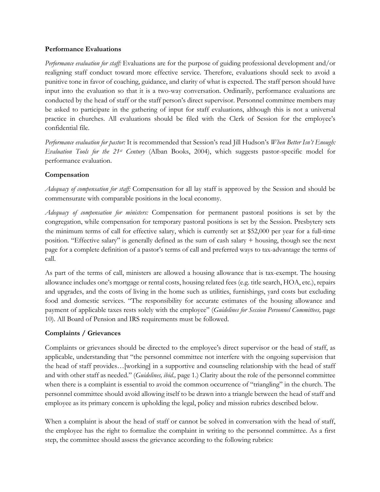#### **Performance Evaluations**

*Performance evaluation for staff:* Evaluations are for the purpose of guiding professional development and/or realigning staff conduct toward more effective service. Therefore, evaluations should seek to avoid a punitive tone in favor of coaching, guidance, and clarity of what is expected. The staff person should have input into the evaluation so that it is a two-way conversation. Ordinarily, performance evaluations are conducted by the head of staff or the staff person's direct supervisor. Personnel committee members may be asked to participate in the gathering of input for staff evaluations, although this is not a universal practice in churches. All evaluations should be filed with the Clerk of Session for the employee's confidential file.

*Performance evaluation for pastor:* It is recommended that Session's read Jill Hudson's *When Better Isn't Enough: Evaluation Tools for the 21st Century* (Alban Books, 2004), which suggests pastor-specific model for performance evaluation.

## **Compensation**

*Adequacy of compensation for staff:* Compensation for all lay staff is approved by the Session and should be commensurate with comparable positions in the local economy.

*Adequacy of compensation for ministers:* Compensation for permanent pastoral positions is set by the congregation, while compensation for temporary pastoral positions is set by the Session. Presbytery sets the minimum terms of call for effective salary, which is currently set at \$52,000 per year for a full-time position. "Effective salary" is generally defined as the sum of cash salary + housing, though see the next page for a complete definition of a pastor's terms of call and preferred ways to tax-advantage the terms of call.

As part of the terms of call, ministers are allowed a housing allowance that is tax-exempt. The housing allowance includes one's mortgage or rental costs, housing related fees (e.g. title search, HOA, etc.), repairs and upgrades, and the costs of living in the home such as utilities, furnishings, yard costs but excluding food and domestic services. "The responsibility for accurate estimates of the housing allowance and payment of applicable taxes rests solely with the employee" (*Guidelines for Session Personnel Committees,* page 10). All Board of Pension and IRS requirements must be followed.

## **Complaints / Grievances**

Complaints or grievances should be directed to the employee's direct supervisor or the head of staff, as applicable, understanding that "the personnel committee not interfere with the ongoing supervision that the head of staff provides…[working] in a supportive and counseling relationship with the head of staff and with other staff as needed." (*Guidelines, ibid.,* page 1.) Clarity about the role of the personnel committee when there is a complaint is essential to avoid the common occurrence of "triangling" in the church. The personnel committee should avoid allowing itself to be drawn into a triangle between the head of staff and employee as its primary concern is upholding the legal, policy and mission rubrics described below.

When a complaint is about the head of staff or cannot be solved in conversation with the head of staff, the employee has the right to formalize the complaint in writing to the personnel committee. As a first step, the committee should assess the grievance according to the following rubrics: